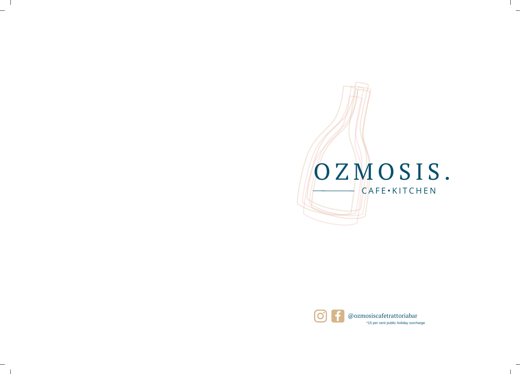

 $\mathbf{I}$ 

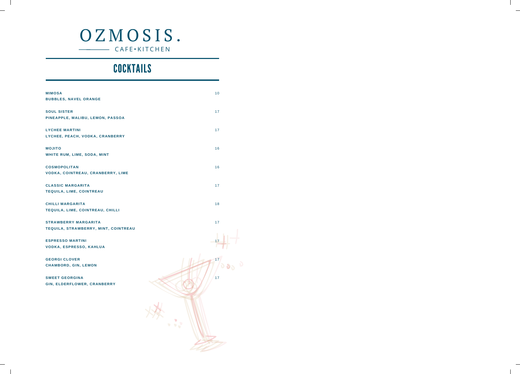# OZMOSIS. CAFE • KITCHEN

 $\mathcal{A}$ 

 $\mathbf{I}$ 

 $\mathbf{I}$ 

 $\overline{\phantom{a}}$  1

# **COCKTAILS**

| <b>MIMOSA</b>                        | 10 |
|--------------------------------------|----|
| <b>BUBBLES, NAVEL ORANGE</b>         |    |
| <b>SOUL SISTER</b>                   | 17 |
| PINEAPPLE, MALIBU, LEMON, PASSOA     |    |
| <b>LYCHEE MARTINI</b>                | 17 |
| LYCHEE, PEACH, VODKA, CRANBERRY      |    |
| <b>OTILOM</b>                        | 16 |
| <b>WHITE RUM, LIME, SODA, MINT</b>   |    |
| <b>COSMOPOLITAN</b>                  | 16 |
| VODKA, COINTREAU, CRANBERRY, LIME    |    |
| <b>CLASSIC MARGARITA</b>             | 17 |
| <b>TEQUILA, LIME, COINTREAU</b>      |    |
| CHILLI MARGARITA                     | 18 |
| TEQUILA, LIME, COINTREAU, CHILLI     |    |
| <b>STRAWBERRY MARGARITA</b>          | 17 |
| TEQUILA, STRAWBERRY, MINT, COINTREAU |    |
| <b>ESPRESSO MARTINI</b>              | 17 |
| <b>VODKA, ESPRESSO, KAHLUA</b>       |    |
| <b>GEORGI CLOVER</b>                 | 17 |
| CHAMBORD, GIN, LEMON                 |    |
| <b>SWEET GEORGINA</b>                | 17 |
| GIN, ELDERFLOWER, CRANBERRY          |    |
|                                      |    |
|                                      |    |
|                                      |    |
|                                      |    |
|                                      |    |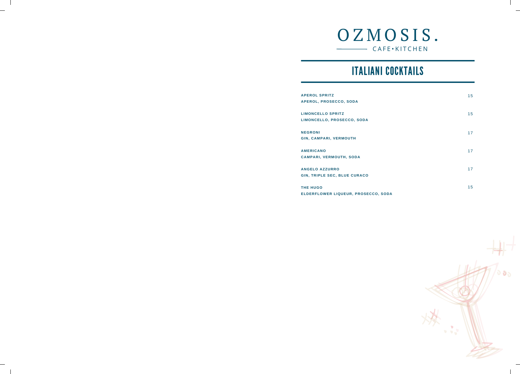

 $\mathbf{I}$ 

# ITALIANI COCKTAILS

| <b>APEROL SPRITZ</b><br>APEROL, PROSECCO, SODA               | 15 |
|--------------------------------------------------------------|----|
| <b>LIMONCELLO SPRITZ</b><br>LIMONCELLO, PROSECCO, SODA       | 15 |
| <b>NEGRONI</b><br><b>GIN, CAMPARI, VERMOUTH</b>              | 17 |
| <b>AMERICANO</b><br>CAMPARI, VERMOUTH, SODA                  | 17 |
| <b>ANGELO AZZURRO</b><br><b>GIN, TRIPLE SEC, BLUE CURACO</b> | 17 |
| <b>THE HUGO</b><br>ELDERFLOWER LIQUEUR, PROSECCO, SODA       | 15 |

 $\sim$  1

 $\mathcal{L}_{\mathcal{S}}$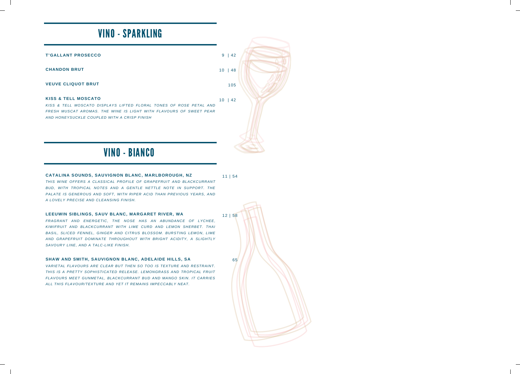# VINO - SPARKLING

| <b>T'GALLANT PROSECCO</b> |  |
|---------------------------|--|
|---------------------------|--|

**CHANDON BRUT**

#### **VEUVE CLIQUOT BRUT**

#### **KISS & TELL MOSCATO**

*KISS & TELL MOSCATO DISPLAYS LIFTED FLORAL TONES OF ROSE PETAL AND FRESH MUSCAT AROMAS. THE WINE IS LIGHT WITH FLAVOURS OF SWEET PEAR AND HONEYSUCKLE COUPLED WITH A CRISP FINISH*

### VINO - BIANCO

#### 11 | 54 **CATALINA SOUNDS, SAUVIGNON BLANC, MARLBOROUGH, NZ** *THIS WINE OFFERS A CLASSICAL PROFILE OF GRAPEFRUIT AND BLACKCURRANT BUD, WITH TROPICAL NOTES AND A GENTLE NETTLE NOTE IN SUPPORT. THE PALATE IS GENEROUS AND SOFT, WITH RIPER ACID THAN PREVIOUS YEARS, AND A LOVELY PRECISE AND CLEANSING FINISH.*

#### **LEEUWIN SIBLINGS, SAUV BLANC, MARGARET RIVER, WA**

*FRAGRANT AND ENERGETIC, THE NOSE HAS AN ABUNDANCE OF LYCHEE, KIWIFRUIT AND BLACKCURRANT WITH LIME CURD AND LEMON SHERBET. THAI BASIL, SLICED FENNEL, GINGER AND CITRUS BLOSSOM. BURSTING LEMON, LIME AND GRAPEFRUIT DOMINATE THROUGHOUT WITH BRIGHT ACIDITY, A SLIGHTLY SAVOURY LINE, AND A TALC-LIKE FINISH.*

#### **SHAW AND SMITH, SAUVIGNON BLANC, ADELAIDE HILLS, SA**

*VARIETAL FLAVOURS ARE CLEAR BUT THEN SO TOO IS TEXTURE AND RESTRAINT. THIS IS A PRETTY SOPHISTICATED RELEASE. LEMONGRASS AND TROPICAL FRUIT FLAVOURS MEET GUNMETAL, BLACKCURRANT BUD AND MANGO SKIN. IT CARRIES ALL THIS FLAVOUR/TEXTURE AND YET IT REMAINS IMPECCABLY NEAT.*

65

12 | 58

9 | 42

10 | 48

10 | 42

105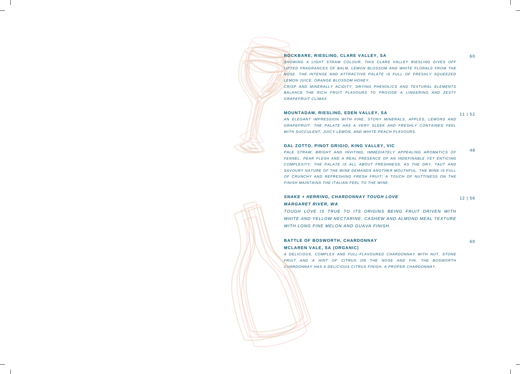#### **ROCKBARE, RIESLING, CLARE VALLEY, SA**

*SHOWING A LIGHT STRAW COLOUR, THIS CLARE VALLEY RIESLING GIVES OFF LIFTED FRAGRANCES OF BALM, LEMON BLOSSOM AND WHITE FLORALS FROM THE NOSE. THE INTENSE AND ATTRACTIVE PALATE IS FULL OF FRESHLY SQUEEZED LEMON JUICE, ORANGE BLOSSOM HONEY,*

*CRISP AND MINERALLY ACIDITY, DRYING PHENOLICS AND TEXTURAL ELEMENTS BALANCE THE RICH FRUIT FLAVOURS TO PROVIDE A LINGERING AND ZESTY GRAPEFRUIT CLIMAX.*

#### **MOUNTADAM, RIESLING, EDEN VALLEY, SA**

*AN ELEGANT IMPRESSION WITH FINE, STONY MINERALS, APPLES, LEMONS AND GRAPEFRUIT. THE PALATE HAS A VERY SLEEK AND FRESHLY CONTAINED FEEL WITH SUCCULENT, JUICY LEMON, AND WHITE-PEACH FLAVOURS.*

#### **DAL ZOTTO, PINOT GRIGIO, KING VALLEY, VIC**

*PALE STRAW, BRIGHT AND INVITING; IMMEDIATELY APPEALING AROMATICS OF FENNEL, PEAR FLESH AND A REAL PRESENCE OF AN INDEFINABLE YET ENTICING COMPLEXITY; THE PALATE IS ALL ABOUT FRESHNESS, AS THE DRY, TAUT AND SAVOURY NATURE OF THE WINE DEMANDS ANOTHER MOUTHFUL. THE WINE IS FULL OF CRUNCHY AND REFRESHING FRESH FRUIT; A TOUCH OF NUTTINESS ON THE FINISH MAINTAINS THE ITALIAN FEEL TO THE WINE.*

### *SNAKE + HERRING, CHARDONNAY TOUGH LOVE MARGARET RIVER, WA*

*TOUGH LOVE IS TRUE TO ITS ORIGINS BEING FRUIT DRIVEN WITH WHITE AND YELLOW NECTARINE, CASHEW AND ALMOND MEAL TEXTURE WITH LONG FINE MELON AND GUAVA FINISH.*

### **BATTLE OF BOSWORTH, CHARDONNAY MCLAREN VALE, SA (ORGANIC)**

60

12 | 56

*A DELICIOUS, COMPLEX AND FULL-FLAVOURED CHARDONNAY WITH NUT, STONE FRUIT AND A HINT OF CITRUS ON THE NOSE AND FIN. THE BOSWORTH CHARDONNAY HAS A DELICIOUS CITRUS FINISH. A PROPER CHARDONNAY.*

60

11 | 52

48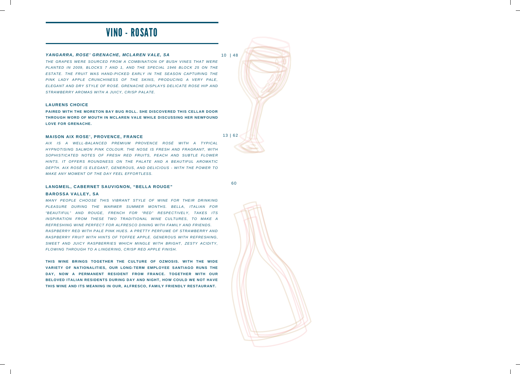### VINO - ROSATO

#### *YANGARRA, ROSE' GRENACHE, MCLAREN VALE, SA*

10 | 48

*THE GRAPES WERE SOURCED FROM A COMBINATION OF BUSH VINES THAT WERE PLANTED IN 2009, BLOCKS 7 AND 1, AND THE SPECIAL 1946 BLOCK 25 ON THE ESTATE. THE FRUIT WAS HAND-PICKED EARLY IN THE SEASON CAPTURING THE PINK LADY APPLE CRUNCHINESS OF THE SKINS, PRODUCING A VERY PALE, ELEGANT AND DRY STYLE OF ROSÉ. GRENACHE DISPLAYS DELICATE ROSE HIP AND STRAWBERRY AROMAS WITH A JUICY, CRISP PALATE.*

#### **LAURENS CHOICE**

**PAIRED WITH THE MORETON BAY BUG ROLL. SHE DISCOVERED THIS CELLAR DOOR THROUGH WORD OF MOUTH IN MCLAREN VALE WHILE DISCUSSING HER NEWFOUND LOVE FOR GRENACHE.**

#### **MAISON AIX ROSE', PROVENCE, FRANCE**

13 | 62

60

*AIX IS A WELL-BALANCED PREMIUM PROVENCE ROSÉ WITH A TYPICAL HYPNOTISING SALMON PINK COLOUR. THE NOSE IS FRESH AND FRAGRANT, WITH SOPHISTICATED NOTES OF FRESH RED FRUITS, PEACH AND SUBTLE FLOWER HINTS. IT OFFERS ROUNDNESS ON THE PALATE AND A BEAUTIFUL AROMATIC DEPTH. AIX ROSÉ IS ELEGANT, GENEROUS, AND DELICIOUS - WITH THE POWER TO MAKE ANY MOMENT OF THE DAY FEEL EFFORTLESS.*

#### **LANGMEIL, CABERNET SAUVIGNON, "BELLA ROUGE"**

#### **BAROSSA VALLEY, SA**

*MANY PEOPLE CHOOSE THIS VIBRANT STYLE OF WINE FOR THEIR DRINKING PLEASURE DURING THE WARMER SUMMER MONTHS. BELLA, ITALIAN FOR "BEAUTIFUL" AND ROUGE, FRENCH FOR "RED" RESPECTIVELY, TAKES ITS INSPIRATION FROM THESE TWO TRADITIONAL WINE CULTURES, TO MAKE A REFRESHING WINE PERFECT FOR ALFRESCO DINING WITH FAMILY AND FRIENDS. RASPBERRY RED WITH PALE PINK HUES. A PRETTY PERFUME OF STRAWBERRY AND RASPBERRY FRUIT WITH HINTS OF TOFFEE APPLE. GENEROUS WITH REFRESHING, SWEET AND JUICY RASPBERRIES WHICH MINGLE WITH BRIGHT, ZESTY ACIDITY, FLOWING THROUGH TO A LINGERING, CRISP RED APPLE FINISH.*

**THIS WINE BRINGS TOGETHER THE CULTURE OF OZMOSIS. WITH THE WIDE VARIETY OF NATIONALITIES, OUR LONG-TERM EMPLOYEE SANTIAGO RUNS THE DAY, NOW A PERMANENT RESIDENT FROM FRANCE. TOGETHER WITH OUR BELOVED ITALIAN RESIDENTS DURING DAY AND NIGHT, HOW COULD WE NOT HAVE THIS WINE AND ITS MEANING IN OUR, ALFRESCO, FAMILY FRIENDLY RESTAURANT.**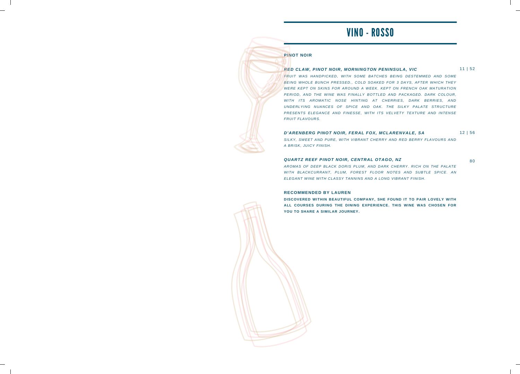### VINO - ROSSO

### **PINOT NOIR**

#### *RED CLAW, PINOT NOIR, MORNINGTON PENINSULA, VIC*

11 | 52

*FRUIT WAS HANDPICKED, WITH SOME BATCHES BEING DESTEMMED AND SOME BEING WHOLE BUNCH PRESSED., COLD SOAKED FOR 3 DAYS, AFTER WHICH THEY WERE KEPT ON SKINS FOR AROUND A WEEK. KEPT ON FRENCH OAK MATURATION PERIOD, AND THE WINE WAS FINALLY BOTTLED AND PACKAGED. DARK COLOUR, WITH ITS AROMATIC NOSE HINTING AT CHERRIES, DARK BERRIES, AND UNDERLYING NUANCES OF SPICE AND OAK. THE SILKY PALATE STRUCTURE PRESENTS ELEGANCE AND FINESSE, WITH ITS VELVETY TEXTURE AND INTENSE FRUIT FLAVOURS.*

#### *D'ARENBERG PINOT NOIR, FERAL FOX, MCLARENVALE, SA*

12 | 56

80

*SILKY, SWEET AND PURE, WITH VIBRANT CHERRY AND RED BERRY FLAVOURS AND A BRISK, JUICY FINISH.*

#### *QUARTZ REEF PINOT NOIR, CENTRAL OTAGO, NZ*

*AROMAS OF DEEP BLACK DORIS PLUM, AND DARK CHERRY. RICH ON THE PALATE WITH BLACKCURRANT, PLUM, FOREST FLOOR NOTES AND SUBTLE SPICE. AN ELEGANT WINE WITH CLASSY TANNINS AND A LONG VIBRANT FINISH.*

#### **RECOMMENDED BY LAUREN**

**DISCOVERED WITHIN BEAUTIFUL COMPANY, SHE FOUND IT TO PAIR LOVELY WITH ALL COURSES DURING THE DINING EXPERIENCE. THIS WINE WAS CHOSEN FOR YOU TO SHARE A SIMILAR JOURNEY.**

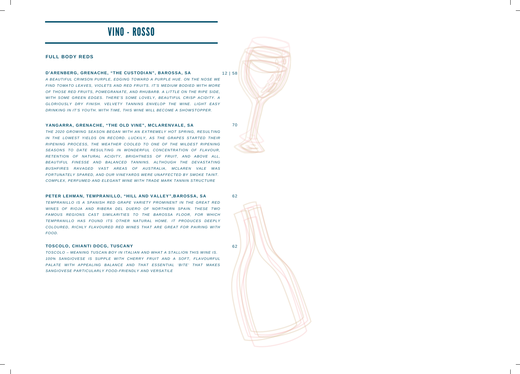### VINO - ROSSO

#### **FULL BODY REDS**

#### **D'ARENBERG, GRENACHE, "THE CUSTODIAN", BAROSSA, SA**

*A BEAUTIFUL CRIMSON PURPLE, EDGING TOWARD A PURPLE HUE. ON THE NOSE WE FIND TOMATO LEAVES, VIOLETS AND RED FRUITS. IT'S MEDIUM BODIED WITH MORE OF THOSE RED FRUITS, POMEGRANATE, AND RHUBARB. A LITTLE ON THE RIPE SIDE, WITH SOME GREEN EDGES. THERE'S SOME LOVELY, BEAUTIFUL CRISP ACIDITY. A GLORIOUSLY DRY FINISH. VELVETY TANNINS ENVELOP THE WINE. LIGHT EASY DRINKING IN IT'S YOUTH. WITH TIME, THIS WINE WILL BECOME A SHOWSTOPPER.*

#### **YANGARRA, GRENACHE, "THE OLD VINE", MCLARENVALE, SA**

*THE 2020 GROWING SEASON BEGAN WITH AN EXTREMELY HOT SPRING, RESULTING IN THE LOWEST YIELDS ON RECORD. LUCKILY, AS THE GRAPES STARTED THEIR RIPENING PROCESS, THE WEATHER COOLED TO ONE OF THE MILDEST RIPENING SEASONS TO DATE RESULTING IN WONDERFUL CONCENTRATION OF FLAVOUR, RETENTION OF NATURAL ACIDITY, BRIGHTNESS OF FRUIT, AND ABOVE ALL, BEAUTIFUL FINESSE AND BALANCED TANNINS. ALTHOUGH THE DEVASTATING BUSHFIRES RAVAGED VAST AREAS OF AUSTRALIA, MCLAREN VALE WAS FORTUNATELY SPARED, AND OUR VINEYARDS WERE UNAFFECTED BY SMOKE TAINT. COMPLEX, PERFUMED AND ELEGANT WINE WITH TRADE MARK TANNIN STRUCTURE*

#### **PETER LEHMAN, TEMPRANILLO, "HILL AND VALLEY",BAROSSA, SA**

*TEMPRANILLO IS A SPANISH RED GRAPE VARIETY PROMINENT IN THE GREAT RED WINES OF RIOJA AND RIBERA DEL DUERO OF NORTHERN SPAIN. THESE TWO FAMOUS REGIONS CAST SIMILARITIES TO THE BAROSSA FLOOR, FOR WHICH TEMPRANILLO HAS FOUND ITS OTHER NATURAL HOME. IT PRODUCES DEEPLY COLOURED, RICHLY FLAVOURED RED WINES THAT ARE GREAT FOR PAIRING WITH FOOD.*

#### **TOSCOLO, CHIANTI DOCG, TUSCANY**

*TOSCOLO – MEANING TUSCAN BOY IN ITALIAN AND WHAT A STALLION THIS WINE IS. 100% SANGIOVESE IS SUPPLE WITH CHERRY FRUIT AND A SOFT, FLAVOURFUL PALATE WITH APPEALING BALANCE AND THAT ESSENTIAL 'BITE' THAT MAKES SANGIOVESE PARTICULARLY FOOD-FRIENDLY AND VERSATILE*

12 | 58

70

62

62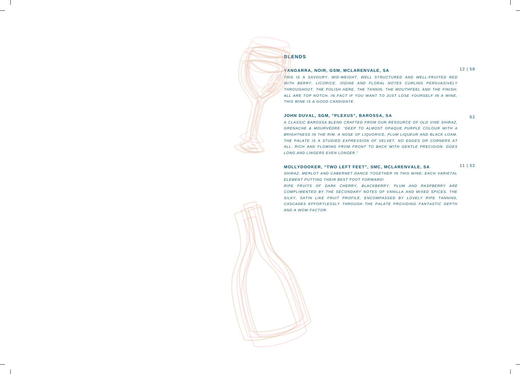### **BLENDS**

#### **YANGARRA, NOIR, GSM, MCLARENVALE, SA**

12 | 58

*THIS IS A SAVOURY, MID-WEIGHT, WELL STRUCTURED AND WELL-FRUITED RED WITH BERRY, LICORICE, IODINE AND FLORAL NOTES CURLING PERSUASIVELY THROUGHOUT. THE POLISH HERE, THE TANNIN, THE MOUTHFEEL AND THE FINISH; ALL ARE TOP NOTCH. IN FACT IF YOU WANT TO JUST LOSE YOURSELF IN A WINE, THIS WINE IS A GOOD CANDIDATE.*

#### **JOHN DUVAL, SGM, "PLEXUS", BAROSSA, SA**

62

*A CLASSIC BAROSSA BLEND CRAFTED FROM OUR RESOURCE OF OLD VINE SHIRAZ, GRENACHE & MOURVÈDRE. "DEEP TO ALMOST OPAQUE PURPLE COLOUR WITH A BRIGHTNESS IN THE RIM. A NOSE OF LIQUORICE, PLUM LIQUEUR AND BLACK LOAM. THE PALATE IS A STUDIED EXPRESSION OF VELVET. NO EDGES OR CORNERS AT ALL. RICH AND FLOWING FROM FRONT TO BACK WITH GENTLE PRECISION. GOES LONG AND LINGERS EVEN LONGER."*

#### 11 | 52 **MOLLYDOOKER, "TWO LEFT FEET", SMC, MCLARENVALE, SA**

*SHIRAZ, MERLOT AND CABERNET DANCE TOGETHER IN THIS WINE; EACH VARIETAL ELEMENT PUTTING THEIR BEST FOOT FORWARD!*

*RIPE FRUITS OF DARK CHERRY, BLACKBERRY, PLUM AND RASPBERRY ARE COMPLIMENTED BY THE SECONDARY NOTES OF VANILLA AND MIXED SPICES. THE SILKY, SATIN LIKE FRUIT PROFILE, ENCOMPASSED BY LOVELY RIPE TANNINS, CASCADES EFFORTLESSLY THROUGH THE PALATE PROVIDING FANTASTIC DEPTH AND A WOW FACTOR.*

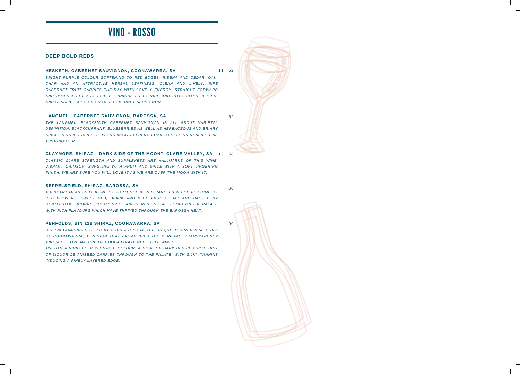### VINO - ROSSO

#### **DEEP BOLD REDS**

#### **HESKETH, CABERNET SAUVIGNON, COONAWARRA, SA**

11 |52

*BRIGHT PURPLE COLOUR SOFTENING TO RED EDGES. RIBENA AND CEDAR; OAK-CHAR AND AN ATTRACTIVE HERBAL LEAFINESS. CLEAN AND LIVELY. RIPE CABERNET FRUIT CARRIES THE DAY WITH LOVELY ENERGY; STRAIGHT FORWARD AND IMMEDIATELY ACCESSIBLE. TANNINS FULLY RIPE AND INTEGRATED. A PURE AND CLASSIC EXPRESSION OF A CABERNET SAUVIGNON.*

#### **LANGMEIL, CABERNET SAUVIGNON, BAROSSA, SA**

62

*THE LANGMEIL BLACKSMITH CABERNET SAUVIGNON IS ALL ABOUT VARIETAL DEFINITION. BLACKCURRANT, BLUEBERRIES AS WELL AS HERBACEOUS AND BRIARY SPICE, PLUS A COUPLE OF YEARS IN GOOD FRENCH OAK TO HELP DRINKABILITY AS A YOUNGSTER.*

#### 12 |58 **CLAYMORE, SHIRAZ, "DARK SIDE OF THE MOON", CLARE VALLEY, SA**

*CLASSIC CLARE STRENGTH AND SUPPLENESS ARE HALLMARKS OF THIS WINE. VIBRANT CRIMSON, BURSTING WITH FRUIT AND SPICE WITH A SOFT LINGERING FINISH. WE ARE SURE YOU WILL LOVE IT AS WE ARE OVER THE MOON WITH IT.*

#### **SEPPELSFIELD, SHIRAZ, BAROSSA, SA**

60

90

*A VIBRANT MEASURED BLEND OF PORTUGUESE RED VARITIES WHICH PERFUME OF RED FLOWERS, SWEET RED, BLACK AND BLUE FRUITS THAT ARE BACKED BY GENTLE OAK, LICORICE, DUSTY SPICE AND HERBS. INITIALLY SOFT ON THE PALATE WITH RICH FLAVOURS WHICH HAVE THRIVED THROUGH THE BAROSSA HEAT.*

#### **PENFOLDS, BIN 128 SHIRAZ, COONAWARRA, SA**

*BIN 128 COMPRISES OF FRUIT SOURCED FROM THE UNIQUE TERRA ROSSA SOILS OF COONAWARRA, A REGION THAT EXEMPLIFIES THE PERFUME, TRANSPARENCY AND SEDUCTIVE NATURE OF COOL-CLIMATE RED TABLE WINES.*

*128 HAS A VIVID DEEP PLUM-RED COLOUR. A NOSE OF DARK BERRIES WITH HINT OF LIQUORICE ANISEED CARRIES THROUGH TO THE PALATE, WITH SILKY TANNINS INDUCING A FINELY-LAYERED EDGE.*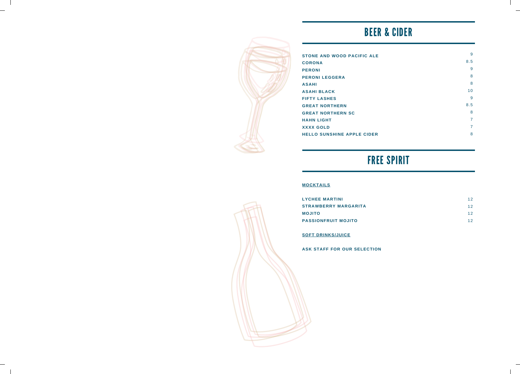# BEER & CIDER



| <b>STONE AND WOOD PACIFIC ALE</b> | 9   |
|-----------------------------------|-----|
| <b>CORONA</b>                     | 8.5 |
| <b>PERONI</b>                     | 9   |
| <b>PERONI LEGGERA</b>             | 8   |
| <b>ASAHI</b>                      | 8   |
| <b>ASAHI BLACK</b>                | 10  |
| <b>FIFTY LASHES</b>               | 9   |
| <b>GREAT NORTHERN</b>             | 8.5 |
| <b>GREAT NORTHERN SC</b>          | 8   |
| <b>HAHN LIGHT</b>                 | 7   |
| <b>XXXX GOLD</b>                  | 7   |
| <b>HELLO SUNSHINE APPLE CIDER</b> | 8   |

# FREE SPIRIT

### **MOCKTAILS**

| <b>LYCHEE MARTINI</b>       | 12 |
|-----------------------------|----|
| <b>STRAWBERRY MARGARITA</b> | 12 |
| <b>OTILOM</b>               | 12 |
| <b>PASSIONFRUIT MOJITO</b>  | 12 |

### **SOFT DRINKS/JUICE**

**ASK STAFF FOR OUR SELECTION**